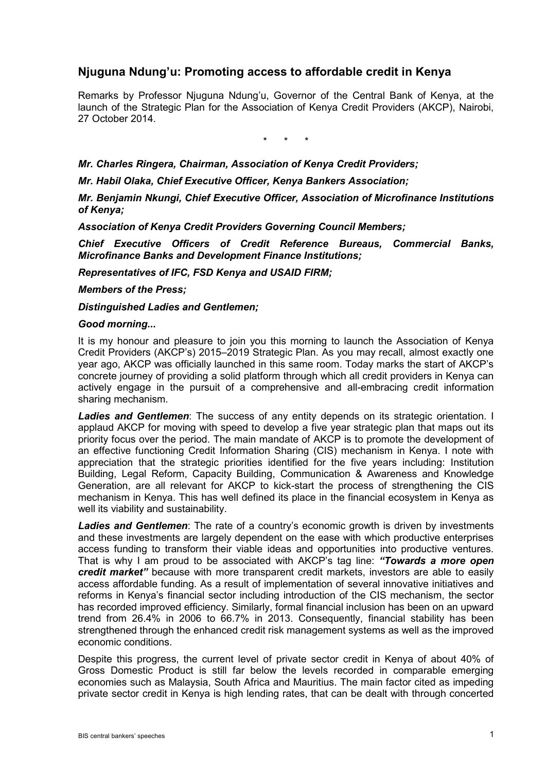## **Njuguna Ndung'u: Promoting access to affordable credit in Kenya**

Remarks by Professor Njuguna Ndung'u, Governor of the Central Bank of Kenya, at the launch of the Strategic Plan for the Association of Kenya Credit Providers (AKCP), Nairobi, 27 October 2014.

\* \* \*

*Mr. Charles Ringera, Chairman, Association of Kenya Credit Providers;*

*Mr. Habil Olaka, Chief Executive Officer, Kenya Bankers Association;*

*Mr. Benjamin Nkungi, Chief Executive Officer, Association of Microfinance Institutions of Kenya;*

*Association of Kenya Credit Providers Governing Council Members;*

*Chief Executive Officers of Credit Reference Bureaus, Commercial Banks, Microfinance Banks and Development Finance Institutions;*

*Representatives of IFC, FSD Kenya and USAID FIRM;*

*Members of the Press;*

*Distinguished Ladies and Gentlemen;*

## *Good morning...*

It is my honour and pleasure to join you this morning to launch the Association of Kenya Credit Providers (AKCP's) 2015–2019 Strategic Plan. As you may recall, almost exactly one year ago, AKCP was officially launched in this same room. Today marks the start of AKCP's concrete journey of providing a solid platform through which all credit providers in Kenya can actively engage in the pursuit of a comprehensive and all-embracing credit information sharing mechanism.

*Ladies and Gentlemen*: The success of any entity depends on its strategic orientation. I applaud AKCP for moving with speed to develop a five year strategic plan that maps out its priority focus over the period. The main mandate of AKCP is to promote the development of an effective functioning Credit Information Sharing (CIS) mechanism in Kenya. I note with appreciation that the strategic priorities identified for the five years including: Institution Building, Legal Reform, Capacity Building, Communication & Awareness and Knowledge Generation, are all relevant for AKCP to kick-start the process of strengthening the CIS mechanism in Kenya. This has well defined its place in the financial ecosystem in Kenya as well its viability and sustainability.

*Ladies and Gentlemen*: The rate of a country's economic growth is driven by investments and these investments are largely dependent on the ease with which productive enterprises access funding to transform their viable ideas and opportunities into productive ventures. That is why I am proud to be associated with AKCP's tag line: *"Towards a more open credit market"* because with more transparent credit markets, investors are able to easily access affordable funding. As a result of implementation of several innovative initiatives and reforms in Kenya's financial sector including introduction of the CIS mechanism, the sector has recorded improved efficiency. Similarly, formal financial inclusion has been on an upward trend from 26.4% in 2006 to 66.7% in 2013. Consequently, financial stability has been strengthened through the enhanced credit risk management systems as well as the improved economic conditions.

Despite this progress, the current level of private sector credit in Kenya of about 40% of Gross Domestic Product is still far below the levels recorded in comparable emerging economies such as Malaysia, South Africa and Mauritius. The main factor cited as impeding private sector credit in Kenya is high lending rates, that can be dealt with through concerted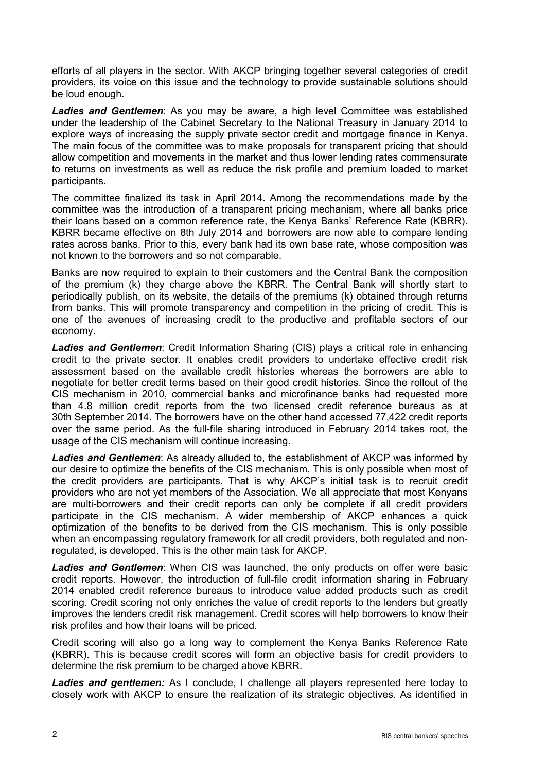efforts of all players in the sector. With AKCP bringing together several categories of credit providers, its voice on this issue and the technology to provide sustainable solutions should be loud enough.

*Ladies and Gentlemen*: As you may be aware, a high level Committee was established under the leadership of the Cabinet Secretary to the National Treasury in January 2014 to explore ways of increasing the supply private sector credit and mortgage finance in Kenya. The main focus of the committee was to make proposals for transparent pricing that should allow competition and movements in the market and thus lower lending rates commensurate to returns on investments as well as reduce the risk profile and premium loaded to market participants.

The committee finalized its task in April 2014. Among the recommendations made by the committee was the introduction of a transparent pricing mechanism, where all banks price their loans based on a common reference rate, the Kenya Banks' Reference Rate (KBRR). KBRR became effective on 8th July 2014 and borrowers are now able to compare lending rates across banks. Prior to this, every bank had its own base rate, whose composition was not known to the borrowers and so not comparable.

Banks are now required to explain to their customers and the Central Bank the composition of the premium (k) they charge above the KBRR. The Central Bank will shortly start to periodically publish, on its website, the details of the premiums (k) obtained through returns from banks. This will promote transparency and competition in the pricing of credit. This is one of the avenues of increasing credit to the productive and profitable sectors of our economy.

*Ladies and Gentlemen*: Credit Information Sharing (CIS) plays a critical role in enhancing credit to the private sector. It enables credit providers to undertake effective credit risk assessment based on the available credit histories whereas the borrowers are able to negotiate for better credit terms based on their good credit histories. Since the rollout of the CIS mechanism in 2010, commercial banks and microfinance banks had requested more than 4.8 million credit reports from the two licensed credit reference bureaus as at 30th September 2014. The borrowers have on the other hand accessed 77,422 credit reports over the same period. As the full-file sharing introduced in February 2014 takes root, the usage of the CIS mechanism will continue increasing.

*Ladies and Gentlemen*: As already alluded to, the establishment of AKCP was informed by our desire to optimize the benefits of the CIS mechanism. This is only possible when most of the credit providers are participants. That is why AKCP's initial task is to recruit credit providers who are not yet members of the Association. We all appreciate that most Kenyans are multi-borrowers and their credit reports can only be complete if all credit providers participate in the CIS mechanism. A wider membership of AKCP enhances a quick optimization of the benefits to be derived from the CIS mechanism. This is only possible when an encompassing regulatory framework for all credit providers, both regulated and nonregulated, is developed. This is the other main task for AKCP.

*Ladies and Gentlemen*: When CIS was launched, the only products on offer were basic credit reports. However, the introduction of full-file credit information sharing in February 2014 enabled credit reference bureaus to introduce value added products such as credit scoring. Credit scoring not only enriches the value of credit reports to the lenders but greatly improves the lenders credit risk management. Credit scores will help borrowers to know their risk profiles and how their loans will be priced.

Credit scoring will also go a long way to complement the Kenya Banks Reference Rate (KBRR). This is because credit scores will form an objective basis for credit providers to determine the risk premium to be charged above KBRR.

*Ladies and gentlemen:* As I conclude, I challenge all players represented here today to closely work with AKCP to ensure the realization of its strategic objectives. As identified in